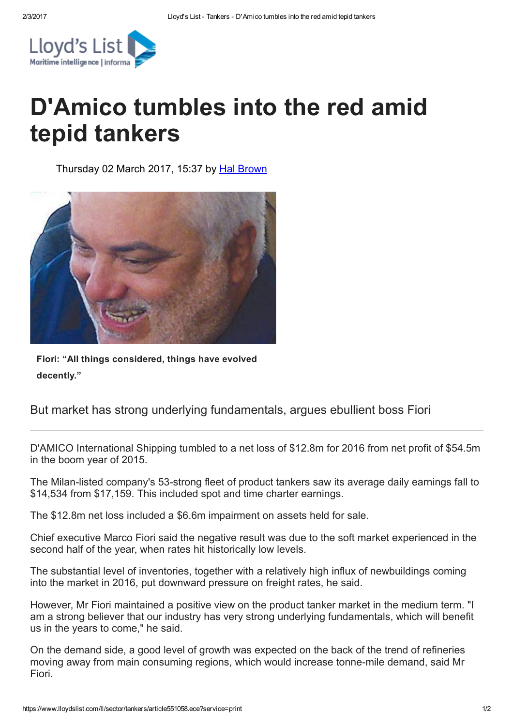

## D'Amico tumbles into the red amid tepid tankers

Thursday 02 March 2017, 15:37 by Hal [Brown](https://www.lloydslist.com/ll/authors/hal-brown/)



Fiori: "All things considered, things have evolved decently."

But market has strong underlying fundamentals, argues ebullient boss Fiori

D'AMICO International Shipping tumbled to a net loss of \$12.8m for 2016 from net profit of \$54.5m in the boom year of 2015.

The Milan-listed company's 53-strong fleet of product tankers saw its average daily earnings fall to \$14,534 from \$17,159. This included spot and time charter earnings.

The \$12.8m net loss included a \$6.6m impairment on assets held for sale.

Chief executive Marco Fiori said the negative result was due to the soft market experienced in the second half of the year, when rates hit historically low levels.

The substantial level of inventories, together with a relatively high influx of newbuildings coming into the market in 2016, put downward pressure on freight rates, he said.

However, Mr Fiori maintained a positive view on the product tanker market in the medium term. "I am a strong believer that our industry has very strong underlying fundamentals, which will benefit us in the years to come," he said.

On the demand side, a good level of growth was expected on the back of the trend of refineries moving away from main consuming regions, which would increase tonne-mile demand, said Mr Fiori.